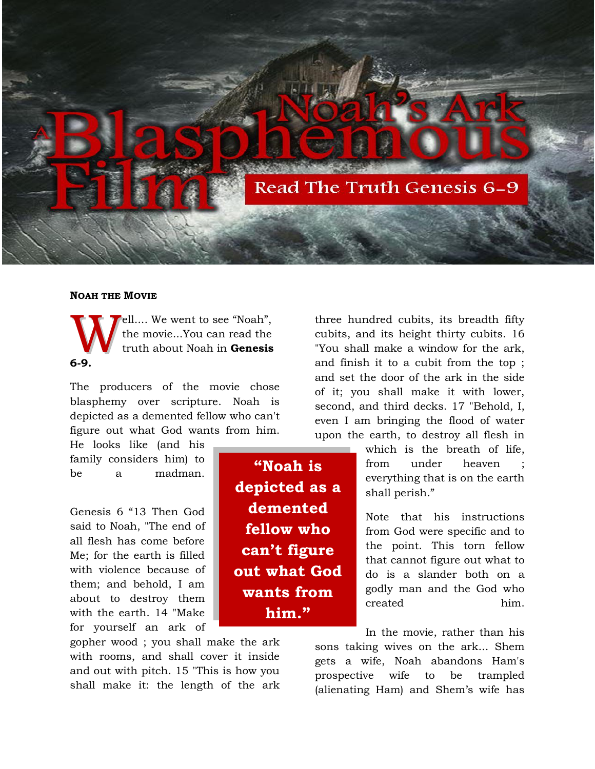

## **NOAH THE MOVIE**

ell.... We went to see "Noah", the movie...You can read the truth about Noah in **Genesis 6-9.** W

The producers of the movie chose blasphemy over scripture. Noah is depicted as a demented fellow who can't figure out what God wants from him.

He looks like (and his family considers him) to be a madman.

Genesis 6 "13 Then God said to Noah, "The end of all flesh has come before Me; for the earth is filled with violence because of them; and behold, I am about to destroy them with the earth. 14 "Make for yourself an ark of

gopher wood ; you shall make the ark with rooms, and shall cover it inside and out with pitch. 15 "This is how you shall make it: the length of the ark three hundred cubits, its breadth fifty cubits, and its height thirty cubits. 16 "You shall make a window for the ark, and finish it to a cubit from the top ; and set the door of the ark in the side of it; you shall make it with lower, second, and third decks. 17 "Behold, I, even I am bringing the flood of water upon the earth, to destroy all flesh in

> which is the breath of life, from under heaven everything that is on the earth shall perish."

> Note that his instructions from God were specific and to the point. This torn fellow that cannot figure out what to do is a slander both on a godly man and the God who created him.

In the movie, rather than his sons taking wives on the ark... Shem gets a wife, Noah abandons Ham's prospective wife to be trampled (alienating Ham) and Shem's wife has

**"Noah is depicted as a demented fellow who can't figure out what God wants from him."**